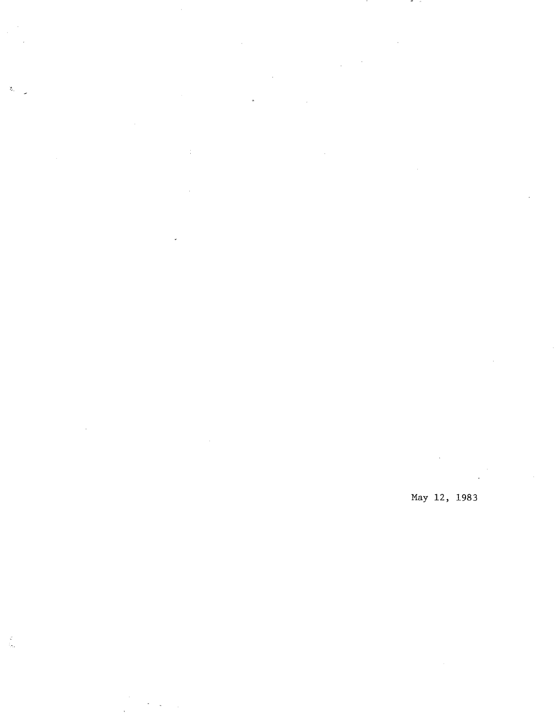$\frac{1}{4}$ 

 $\mathcal{G}_i$ 

 $\frac{\varepsilon}{\varepsilon_{\sigma_{\alpha}}}$ 

 $\ddot{\phantom{a}}$ 

May 12, 1983

 $-$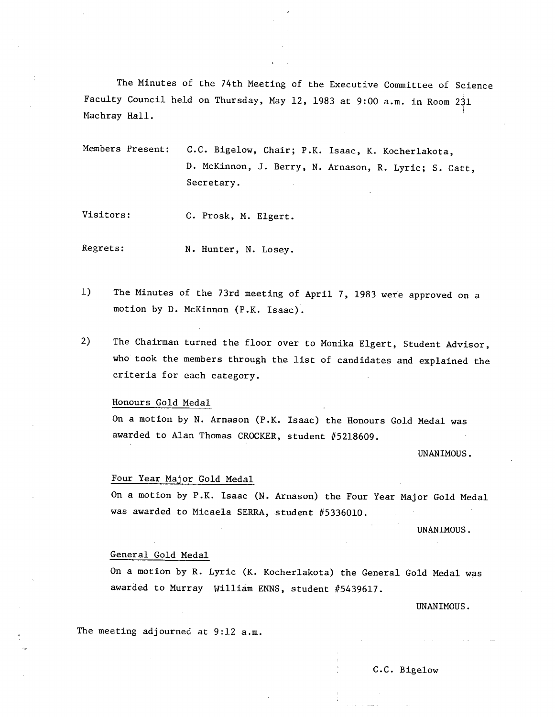The Minutes of the 74th Meeting of the Executive Committee of Science Faculty Council held on Thursday, May 12, 1983 at 9:00 a.m. in Room 231 Machray Hall.

Members Present: C.C. Bigelow, Chair; P.K. Isaac, K. Kocherlakota, D. McKinnon, J. Berry, N. Arnason, R. Lyric; S. Catt, Secretary.

Visitors: C. Prosk, M. Elgert.

Regrets: N. Hunter, N. Losey.

- $1)$ The Minutes of the 73rd meeting of April 7, 1983 were approved on a motion by D. McKinnon (P.K. Isaac).
- $2)$ The Chairman turned the floor over to Monika Elgert, Student Advisor, who took the members through the list of candidates and explained the criteria for each category.

### Honours Gold Medal

On a motion by N. Arnason (P.K. Isaac) the Honours Gold Medal was awarded to Alan Thomas CROCKER, student #5218609.

#### UNANIMOUS.

## Four Year Major Gold Medal

On a motion by P.K. Isaac (N. Arnason) the Four Year Major Gold Medal was awarded to Micaela SERRA, student #5336010.

UNANIMOUS.

### General Gold Medal

On a motion by R. Lyric (K. Kocherlakota) the General Gold Medal was awarded to Murray William ENNS, student #5439617.

UNANIMOUS.

The meeting adjourned at 9:12 a.m.

C.C. Bigelow